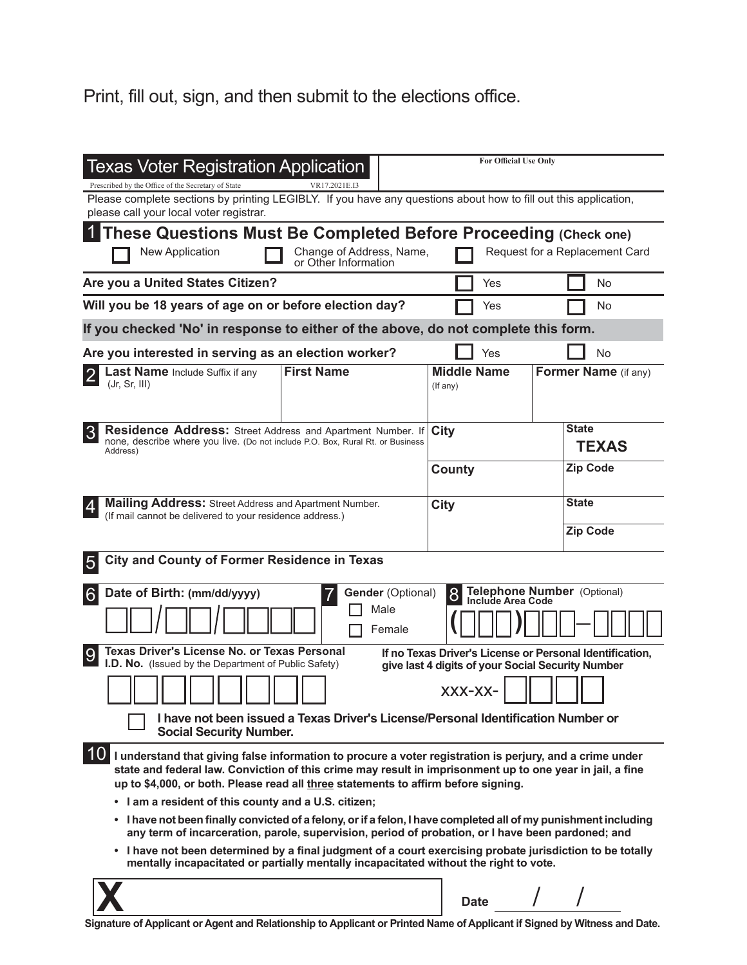## Print, fill out, sign, and then submit to the elections office.

| Texas Voter Registration Application<br>Prescribed by the Office of the Secretary of State<br>VR17.2021E.I3<br>Please complete sections by printing LEGIBLY. If you have any questions about how to fill out this application,                                                                                    |                | <b>For Official Use Only</b>   |                                |  |
|-------------------------------------------------------------------------------------------------------------------------------------------------------------------------------------------------------------------------------------------------------------------------------------------------------------------|----------------|--------------------------------|--------------------------------|--|
| please call your local voter registrar.<br>These Questions Must Be Completed Before Proceeding (Check one)<br>Change of Address, Name,<br>New Application                                                                                                                                                         |                |                                | Request for a Replacement Card |  |
| or Other Information<br>Are you a United States Citizen?                                                                                                                                                                                                                                                          |                | Yes                            | No                             |  |
| Will you be 18 years of age on or before election day?                                                                                                                                                                                                                                                            |                | Yes                            | No                             |  |
| If you checked 'No' in response to either of the above, do not complete this form.                                                                                                                                                                                                                                |                |                                |                                |  |
| Are you interested in serving as an election worker?                                                                                                                                                                                                                                                              |                | Yes                            | No                             |  |
| <b>First Name</b><br>Last Name Include Suffix if any<br>(Jr, Sr, III)                                                                                                                                                                                                                                             |                | <b>Middle Name</b><br>(If any) | Former Name (if any)           |  |
| <b>Residence Address:</b> Street Address and Apartment Number. If<br>none, describe where you live. (Do not include P.O. Box, Rural Rt. or Business<br>Address)                                                                                                                                                   |                | City                           | <b>State</b><br><b>TEXAS</b>   |  |
|                                                                                                                                                                                                                                                                                                                   |                | County                         | <b>Zip Code</b>                |  |
| <b>Mailing Address:</b> Street Address and Apartment Number.                                                                                                                                                                                                                                                      |                | City                           | <b>State</b>                   |  |
| (If mail cannot be delivered to your residence address.)                                                                                                                                                                                                                                                          |                |                                | <b>Zip Code</b>                |  |
| <b>City and County of Former Residence in Texas</b>                                                                                                                                                                                                                                                               |                |                                |                                |  |
| Telephone Number (Optional)<br><b>Gender (Optional)</b><br>Date of Birth: (mm/dd/yyyy)<br>8<br>6<br><b>Include Area Code</b>                                                                                                                                                                                      |                |                                |                                |  |
|                                                                                                                                                                                                                                                                                                                   | Male<br>Female |                                |                                |  |
| Texas Driver's License No. or Texas Personal<br>If no Texas Driver's License or Personal Identification,<br>I.D. No. (Issued by the Department of Public Safety)                                                                                                                                                  |                |                                |                                |  |
| give last 4 digits of your Social Security Number<br>XXX-XX-                                                                                                                                                                                                                                                      |                |                                |                                |  |
| I have not been issued a Texas Driver's License/Personal Identification Number or<br><b>Social Security Number.</b>                                                                                                                                                                                               |                |                                |                                |  |
| 10<br>I understand that giving false information to procure a voter registration is perjury, and a crime under<br>state and federal law. Conviction of this crime may result in imprisonment up to one year in jail, a fine<br>up to \$4,000, or both. Please read all three statements to affirm before signing. |                |                                |                                |  |
| • I am a resident of this county and a U.S. citizen;                                                                                                                                                                                                                                                              |                |                                |                                |  |
| I have not been finally convicted of a felony, or if a felon, I have completed all of my punishment including<br>٠<br>any term of incarceration, parole, supervision, period of probation, or I have been pardoned; and                                                                                           |                |                                |                                |  |
| • I have not been determined by a final judgment of a court exercising probate jurisdiction to be totally<br>mentally incapacitated or partially mentally incapacitated without the right to vote.                                                                                                                |                |                                |                                |  |
|                                                                                                                                                                                                                                                                                                                   |                | <b>Date</b>                    |                                |  |

**Signature of Applicant or Agent and Relationship to Applicant or Printed Name of Applicant if Signed by Witness and Date.**